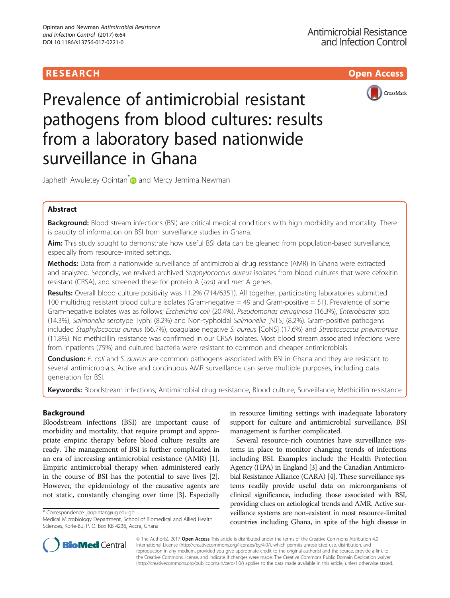# **RESEARCH CHILD CONTROL** CONTROL CONTROL CONTROL CONTROL CONTROL CONTROL CONTROL CONTROL CONTROL CONTROL CONTROL CONTROL CONTROL CONTROL CONTROL CONTROL CONTROL CONTROL CONTROL CONTROL CONTROL CONTROL CONTROL CONTROL CONTR



# Prevalence of antimicrobial resistant pathogens from blood cultures: results from a laboratory based nationwide surveillance in Ghana

Japheth Awuletey Opintan<sup>\*</sup> and Mercy Jemima Newman

# Abstract

Background: Blood stream infections (BSI) are critical medical conditions with high morbidity and mortality. There is paucity of information on BSI from surveillance studies in Ghana.

Aim: This study sought to demonstrate how useful BSI data can be gleaned from population-based surveillance, especially from resource-limited settings.

Methods: Data from a nationwide surveillance of antimicrobial drug resistance (AMR) in Ghana were extracted and analyzed. Secondly, we revived archived Staphylococcus aureus isolates from blood cultures that were cefoxitin resistant (CRSA), and screened these for protein A (spa) and mec A genes.

Results: Overall blood culture positivity was 11.2% (714/6351). All together, participating laboratories submitted 100 multidrug resistant blood culture isolates (Gram-negative = 49 and Gram-positive = 51). Prevalence of some Gram-negative isolates was as follows; Escherichia coli (20.4%), Pseudomonas aeruginosa (16.3%), Enterobacter spp. (14.3%), Salmonella serotype Typhi (8.2%) and Non-typhoidal Salmonella [NTS] (8.2%). Gram-positive pathogens included Staphylococcus aureus (66.7%), coagulase negative S. aureus [CoNS] (17.6%) and Streptococcus pneumoniae (11.8%). No methicillin resistance was confirmed in our CRSA isolates. Most blood stream associated infections were from inpatients (75%) and cultured bacteria were resistant to common and cheaper antimicrobials.

Conclusion: E. coli and S. aureus are common pathogens associated with BSI in Ghana and they are resistant to several antimicrobials. Active and continuous AMR surveillance can serve multiple purposes, including data generation for BSI.

Keywords: Bloodstream infections, Antimicrobial drug resistance, Blood culture, Surveillance, Methicillin resistance

# Background

Bloodstream infections (BSI) are important cause of morbidity and mortality, that require prompt and appropriate empiric therapy before blood culture results are ready. The management of BSI is further complicated in an era of increasing antimicrobial resistance (AMR) [\[1](#page-4-0)]. Empiric antimicrobial therapy when administered early in the course of BSI has the potential to save lives [\[2](#page-4-0)]. However, the epidemiology of the causative agents are not static, constantly changing over time [\[3](#page-4-0)]. Especially

\* Correspondence: [jaopintan@ug.edu.gh](mailto:jaopintan@ug.edu.gh)

Medical Microbiology Department, School of Biomedical and Allied Health Sciences, Korle-Bu, P. O. Box KB 4236, Accra, Ghana

in resource limiting settings with inadequate laboratory support for culture and antimicrobial surveillance, BSI management is further complicated.

Several resource-rich countries have surveillance systems in place to monitor changing trends of infections including BSI. Examples include the Health Protection Agency (HPA) in England [\[3\]](#page-4-0) and the Canadian Antimicrobial Resistance Alliance (CARA) [[4](#page-4-0)]. These surveillance systems readily provide useful data on microorganisms of clinical significance, including those associated with BSI, providing clues on aetiological trends and AMR. Active surveillance systems are non-existent in most resource-limited countries including Ghana, in spite of the high disease in



© The Author(s). 2017 **Open Access** This article is distributed under the terms of the Creative Commons Attribution 4.0 International License [\(http://creativecommons.org/licenses/by/4.0/](http://creativecommons.org/licenses/by/4.0/)), which permits unrestricted use, distribution, and reproduction in any medium, provided you give appropriate credit to the original author(s) and the source, provide a link to the Creative Commons license, and indicate if changes were made. The Creative Commons Public Domain Dedication waiver [\(http://creativecommons.org/publicdomain/zero/1.0/](http://creativecommons.org/publicdomain/zero/1.0/)) applies to the data made available in this article, unless otherwise stated.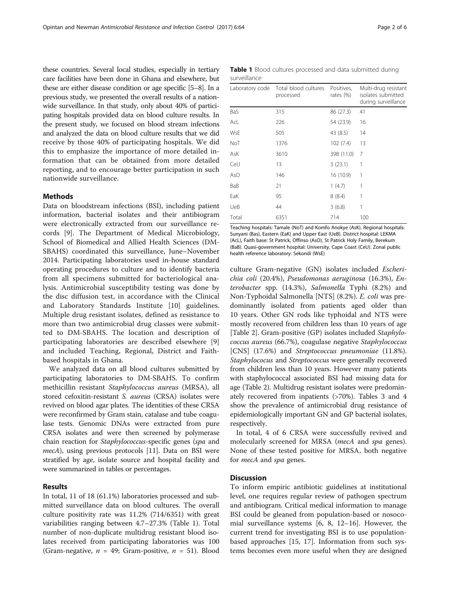these countries. Several local studies, especially in tertiary care facilities have been done in Ghana and elsewhere, but these are either disease condition or age specific [\[5](#page-4-0)–[8](#page-4-0)]. In a previous study, we presented the overall results of a nationwide surveillance. In that study, only about 40% of participating hospitals provided data on blood culture results. In the present study, we focused on blood stream infections and analyzed the data on blood culture results that we did receive by those 40% of participating hospitals. We did this to emphasize the importance of more detailed information that can be obtained from more detailed reporting, and to encourage better participation in such nationwide surveillance.

## **Mathods**

Data on bloodstream infections (BSI), including patient information, bacterial isolates and their antibiogram were electronically extracted from our surveillance records [\[9\]](#page-5-0). The Department of Medical Microbiology, School of Biomedical and Allied Health Sciences (DM-SBAHS) coordinated this surveillance, June–November 2014. Participating laboratories used in-house standard operating procedures to culture and to identify bacteria from all specimens submitted for bacteriological analysis. Antimicrobial susceptibility testing was done by the disc diffusion test, in accordance with the Clinical and Laboratory Standards Institute [[10](#page-5-0)] guidelines. Multiple drug resistant isolates, defined as resistance to more than two antimicrobial drug classes were submitted to DM-SBAHS. The location and description of participating laboratories are described elsewhere [\[9](#page-5-0)] and included Teaching, Regional, District and Faithbased hospitals in Ghana.

We analyzed data on all blood cultures submitted by participating laboratories to DM-SBAHS. To confirm methicillin resistant Staphylococcus aureus (MRSA), all stored cefoxitin-resistant S. aureus (CRSA) isolates were revived on blood agar plates. The identities of these CRSA were reconfirmed by Gram stain, catalase and tube coagulase tests. Genomic DNAs were extracted from pure CRSA isolates and were then screened by polymerase chain reaction for Staphylococcus-specific genes (spa and mecA), using previous protocols [[11](#page-5-0)]. Data on BSI were stratified by age, isolate source and hospital facility and were summarized in tables or percentages.

## Results

In total, 11 of 18 (61.1%) laboratories processed and submitted surveillance data on blood cultures. The overall culture positivity rate was 11.2% (714/6351) with great variabilities ranging between 4.7–27.3% (Table 1). Total number of non-duplicate multidrug resistant blood isolates received from participating laboratories was 100 (Gram-negative,  $n = 49$ ; Gram-positive,  $n = 51$ ). Blood

|              |  |  |  | <b>Table 1</b> Blood cultures processed and data submitted during |  |
|--------------|--|--|--|-------------------------------------------------------------------|--|
| surveillance |  |  |  |                                                                   |  |

| Laboratory code | Total blood cultures<br>processed | Positives,<br>rates (%) | Multi-drug resistant<br>isolates submitted<br>during surveillance |  |  |
|-----------------|-----------------------------------|-------------------------|-------------------------------------------------------------------|--|--|
| BaS             | 315                               | 86 (27.3)               | 41                                                                |  |  |
| AcL             | 226                               | 54 (23.9)               | 16                                                                |  |  |
| WsE             | 505                               | 43 (8.5)                | 14                                                                |  |  |
| NoT             | 1376                              | 102(7.4)                | 13                                                                |  |  |
| AsK             | 3610                              | 398 (11.0)              | 7                                                                 |  |  |
| CeU             | 13                                | 3(23.1)                 | 1                                                                 |  |  |
| AsO             | 146                               | 16 (10.9)               | 1                                                                 |  |  |
| BaB             | 21                                | 1(4.7)                  | 1                                                                 |  |  |
| EaK             | 95                                | 8(8.4)                  | 1                                                                 |  |  |
| UeB             | 44                                | 3(6.8)                  | 1                                                                 |  |  |
| Total           | 6351                              | 714                     | 100                                                               |  |  |

Teaching hospitals: Tamale (NoT) and Komfo Anokye (AsK). Regional hospitals: Sunyani (Bas), Eastern (EaK) and Upper East (UeB). District hospital: LEKMA (AcL), Faith base: St Patrick, Offinso (AsO), St Patrick Holy Family, Berekum (BaB). Quasi-government hospital: University, Cape Coast (CeU). Zonal public health reference laboratory: Sekondi (WsE)

culture Gram-negative (GN) isolates included Escherichia coli (20.4%), Pseudomonas aeruginosa (16.3%), Enterobacter spp. (14.3%), Salmonella Typhi (8.2%) and Non-Typhoidal Salmonella [NTS] (8.2%). E. coli was predominantly isolated from patients aged older than 10 years. Other GN rods like typhoidal and NTS were mostly recovered from children less than 10 years of age [Table [2\]](#page-2-0). Gram-positive (GP) isolates included Staphylococcus aureus (66.7%), coagulase negative Staphylococcus [CNS] (17.6%) and Streptococcus pneumoniae (11.8%). Staphylococus and Streptococcus were generally recovered from children less than 10 years. However many patients with staphylococcal associated BSI had missing data for age (Table [2\)](#page-2-0). Multidrug resistant isolates were predominately recovered from inpatients (>70%). Tables [3](#page-2-0) and [4](#page-3-0) show the prevalence of antimicrobial drug resistance of epidemiologically important GN and GP bacterial isolates, respectively.

In total, 4 of 6 CRSA were successfully revived and molecularly screened for MRSA (mecA and spa genes). None of these tested positive for MRSA, both negative for *mecA* and *spa* genes.

## **Discussion**

To inform empiric antibiotic guidelines at institutional level, one requires regular review of pathogen spectrum and antibiogram. Critical medical information to manage BSI could be gleaned from population-based or nosocomial surveillance systems [\[6](#page-4-0), [8,](#page-4-0) [12](#page-5-0)–[16\]](#page-5-0). However, the current trend for investigating BSI is to use populationbased approaches [[15, 17\]](#page-5-0). Information from such systems becomes even more useful when they are designed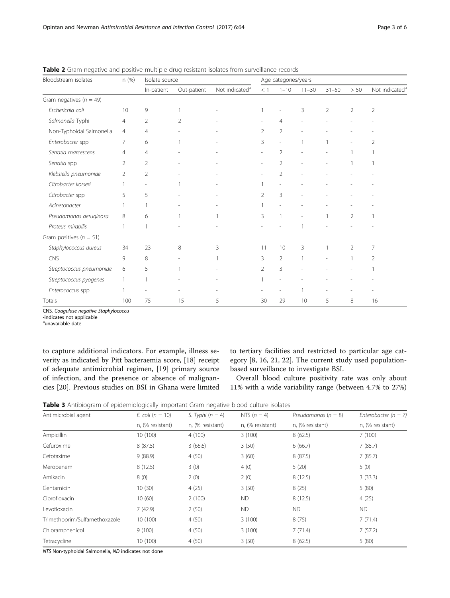| Bloodstream isolates        | n (%)          | Isolate source |                |                            | Age categories/years     |                |                          |                |                |                            |
|-----------------------------|----------------|----------------|----------------|----------------------------|--------------------------|----------------|--------------------------|----------------|----------------|----------------------------|
|                             |                | In-patient     | Out-patient    | Not indicated <sup>a</sup> | $\,<\,1$                 | $1 - 10$       | $11 - 30$                | $31 - 50$      | $> 50\,$       | Not indicated <sup>a</sup> |
| Gram negatives ( $n = 49$ ) |                |                |                |                            |                          |                |                          |                |                |                            |
| Escherichia coli            | 10             | 9              | $\mathbf{1}$   |                            |                          | ٠              | 3                        | $\overline{2}$ | $\overline{2}$ | $\overline{2}$             |
| Salmonella Typhi            | $\overline{4}$ | $\overline{2}$ | $\overline{2}$ |                            | $\overline{\phantom{a}}$ | $\overline{4}$ | $\overline{\phantom{a}}$ |                |                |                            |
| Non-Typhoidal Salmonella    | 4              | $\overline{4}$ |                |                            | 2                        | $\overline{2}$ |                          |                |                |                            |
| Enterobacter spp            | 7              | 6              | $\mathbf{1}$   |                            | 3                        |                | 1                        |                |                | 2                          |
| Serratia marcescens         | $\overline{4}$ | 4              |                |                            |                          | $\overline{2}$ |                          |                |                |                            |
| Serratia spp                | 2              | $\overline{2}$ |                |                            | ۰                        | $\overline{2}$ |                          | $\overline{a}$ |                |                            |
| Klebsiella pneumoniae       | $\overline{2}$ | $\overline{2}$ |                |                            |                          | $\overline{2}$ |                          |                |                |                            |
| Citrobacter korseri         |                |                |                |                            |                          |                |                          |                |                |                            |
| Citrobacter spp             | 5              | 5              |                |                            | $\mathcal{P}$            | 3              |                          |                |                |                            |
| Acinetobacter               |                |                |                |                            |                          |                |                          |                |                |                            |
| Pseudomonas aeruginosa      | 8              | 6              |                |                            | 3                        |                | $\overline{a}$           |                | 2              |                            |
| Proteus mirabilis           | $\overline{1}$ |                |                |                            |                          |                | 1                        |                |                |                            |
| Gram positives ( $n = 51$ ) |                |                |                |                            |                          |                |                          |                |                |                            |
| Staphylococcus aureus       | 34             | 23             | 8              | 3                          | 11                       | 10             | 3                        | 1              | $\overline{2}$ | 7                          |
| CNS                         | 9              | 8              |                |                            | 3                        | $\overline{2}$ | $\mathbf{1}$             | $\overline{a}$ |                | $\overline{2}$             |
| Streptococcus pneumoniae    | 6              | 5              | $\mathbf{1}$   |                            | $\overline{2}$           | 3              |                          |                |                |                            |
| Streptococcus pyogenes      |                |                |                |                            |                          |                |                          |                |                |                            |
| Enterococcus spp            |                |                |                |                            |                          |                |                          |                |                |                            |
| Totals                      | 100            | 75             | 15             | 5                          | 30                       | 29             | 10                       | 5              | 8              | 16                         |

<span id="page-2-0"></span>Table 2 Gram negative and positive multiple drug resistant isolates from surveillance records

CNS, Coagulase negative Staphylococcu

-indicates not applicable

<sup>a</sup>unavailable date

to capture additional indicators. For example, illness severity as indicated by Pitt bacteraemia score, [[18](#page-5-0)] receipt of adequate antimicrobial regimen, [[19](#page-5-0)] primary source of infection, and the presence or absence of malignancies [\[20](#page-5-0)]. Previous studies on BSI in Ghana were limited to tertiary facilities and restricted to particular age category [\[8](#page-4-0), [16](#page-5-0), [21](#page-5-0), [22](#page-5-0)]. The current study used populationbased surveillance to investigate BSI.

Overall blood culture positivity rate was only about 11% with a wide variability range (between 4.7% to 27%)

Table 3 Antibiogram of epidemiologically important Gram negative blood culture isolates

| Antimicrobial agent           | E. coli ( $n = 10$ ) | S. Typhi $(n = 4)$ | NTS $(n = 4)$    | Pseudomonas ( $n = 8$ ) | Enterobacter ( $n = 7$ ) |  |
|-------------------------------|----------------------|--------------------|------------------|-------------------------|--------------------------|--|
|                               | n, (% resistant)     | n, (% resistant)   | n, (% resistant) | n, (% resistant)        | n, (% resistant)         |  |
| Ampicillin                    | 10(100)              | 4(100)             | 3(100)           | 8(62.5)                 | 7(100)                   |  |
| Cefuroxime                    | 8(87.5)              | 3(66.6)            | 3(50)            | 6(66.7)                 | 7(85.7)                  |  |
| Cefotaxime                    | 9(88.9)              | 4(50)              | 3(60)            | 8(87.5)                 | 7(85.7)                  |  |
| Meropenem                     | 8(12.5)              | 3(0)               | 4(0)             | 5(20)                   | 5(0)                     |  |
| Amikacin                      | 8 (0)                | 2(0)               | 2(0)             | 8(12.5)                 | 3(33.3)                  |  |
| Gentamicin                    | 10(30)               | 4(25)              | 3(50)            | 8(25)                   | 5(80)                    |  |
| Ciprofloxacin                 | 10(60)               | 2(100)             | <b>ND</b>        | 8(12.5)                 | 4(25)                    |  |
| Levofloxacin                  | 7(42.9)              | 2(50)              | <b>ND</b>        | <b>ND</b>               | <b>ND</b>                |  |
| Trimethoprim/Sulfamethoxazole | 10(100)              | 4(50)              | 3(100)           | 8(75)                   | 7(71.4)                  |  |
| Chloramphenicol               | 9(100)               | 4(50)              | 3(100)           | 7(71.4)                 | 7(57.2)                  |  |
| Tetracycline                  | 10(100)              | 4(50)              | 3(50)            | 8(62.5)                 | 5(80)                    |  |

NTS Non-typhoidal Salmonella, ND indicates not done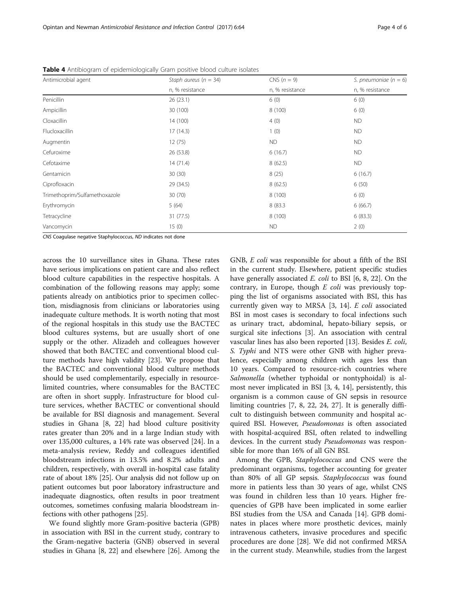| Antimicrobial agent           | Staph aureus ( $n = 34$ ) | CNS $(n = 9)$   | S. pneumoniae $(n = 6)$ |  |
|-------------------------------|---------------------------|-----------------|-------------------------|--|
|                               | n, % resistance           | n, % resistance | n, % resistance         |  |
| Penicillin                    | 26(23.1)                  | 6(0)            | 6(0)                    |  |
| Ampicillin                    | 30 (100)                  | 8(100)          | 6(0)                    |  |
| Cloxacillin                   | 14 (100)                  | 4(0)            | <b>ND</b>               |  |
| Flucloxacillin                | 17(14.3)                  | 1(0)            | <b>ND</b>               |  |
| Augmentin                     | 12 (75)                   | <b>ND</b>       | <b>ND</b>               |  |
| Cefuroxime                    | 26 (53.8)                 | 6(16.7)         | <b>ND</b>               |  |
| Cefotaxime                    | 14(71.4)                  | 8(62.5)         | <b>ND</b>               |  |
| Gentamicin                    | 30(30)                    | 8(25)           | 6(16.7)                 |  |
| Ciprofloxacin                 | 29 (34.5)                 | 8(62.5)         | 6(50)                   |  |
| Trimethoprim/Sulfamethoxazole | 30 (70)                   | 8(100)          | 6(0)                    |  |
| Erythromycin                  | 5(64)                     | 8 (83.3         | 6(66.7)                 |  |
| Tetracycline                  | 31(77.5)                  | 8(100)          | 6(83.3)                 |  |
| Vancomycin                    | 15(0)                     | <b>ND</b>       | 2(0)                    |  |

<span id="page-3-0"></span>Table 4 Antibiogram of epidemiologically Gram positive blood culture isolates

CNS Coagulase negative Staphylococcus, ND indicates not done

across the 10 surveillance sites in Ghana. These rates have serious implications on patient care and also reflect blood culture capabilities in the respective hospitals. A combination of the following reasons may apply; some patients already on antibiotics prior to specimen collection, misdiagnosis from clinicians or laboratories using inadequate culture methods. It is worth noting that most of the regional hospitals in this study use the BACTEC blood cultures systems, but are usually short of one supply or the other. Alizadeh and colleagues however showed that both BACTEC and conventional blood culture methods have high validity [\[23](#page-5-0)]. We propose that the BACTEC and conventional blood culture methods should be used complementarily, especially in resourcelimited countries, where consumables for the BACTEC are often in short supply. Infrastructure for blood culture services, whether BACTEC or conventional should be available for BSI diagnosis and management. Several studies in Ghana [\[8](#page-4-0), [22\]](#page-5-0) had blood culture positivity rates greater than 20% and in a large Indian study with over 135,000 cultures, a 14% rate was observed [\[24](#page-5-0)]. In a meta-analysis review, Reddy and colleagues identified bloodstream infections in 13.5% and 8.2% adults and children, respectively, with overall in-hospital case fatality rate of about 18% [[25](#page-5-0)]. Our analysis did not follow up on patient outcomes but poor laboratory infrastructure and inadequate diagnostics, often results in poor treatment outcomes, sometimes confusing malaria bloodstream infections with other pathogens [[25\]](#page-5-0).

We found slightly more Gram-positive bacteria (GPB) in association with BSI in the current study, contrary to the Gram-negative bacteria (GNB) observed in several studies in Ghana [\[8](#page-4-0), [22\]](#page-5-0) and elsewhere [\[26](#page-5-0)]. Among the

GNB, E coli was responsible for about a fifth of the BSI in the current study. Elsewhere, patient specific studies have generally associated *E. coli* to BSI [[6, 8,](#page-4-0) [22\]](#page-5-0). On the contrary, in Europe, though  $E$  coli was previously topping the list of organisms associated with BSI, this has currently given way to MRSA [[3,](#page-4-0) [14\]](#page-5-0). E coli associated BSI in most cases is secondary to focal infections such as urinary tract, abdominal, hepato-biliary sepsis, or surgical site infections [[3\]](#page-4-0). An association with central vascular lines has also been reported [[13\]](#page-5-0). Besides E. coli, S. Typhi and NTS were other GNB with higher prevalence, especially among children with ages less than 10 years. Compared to resource-rich countries where Salmonella (whether typhoidal or nontyphoidal) is almost never implicated in BSI [\[3](#page-4-0), [4,](#page-4-0) [14\]](#page-5-0), persistently, this organism is a common cause of GN sepsis in resource limiting countries [\[7](#page-4-0), [8](#page-4-0), [22, 24, 27\]](#page-5-0). It is generally difficult to distinguish between community and hospital acquired BSI. However, Pseudomonas is often associated with hospital-acquired BSI, often related to indwelling devices. In the current study Pseudomonas was responsible for more than 16% of all GN BSI.

Among the GPB, Staphylococcus and CNS were the predominant organisms, together accounting for greater than 80% of all GP sepsis. Staphylococcus was found more in patients less than 30 years of age, whilst CNS was found in children less than 10 years. Higher frequencies of GPB have been implicated in some earlier BSI studies from the USA and Canada [[14\]](#page-5-0). GPB dominates in places where more prosthetic devices, mainly intravenous catheters, invasive procedures and specific procedures are done [\[28\]](#page-5-0). We did not confirmed MRSA in the current study. Meanwhile, studies from the largest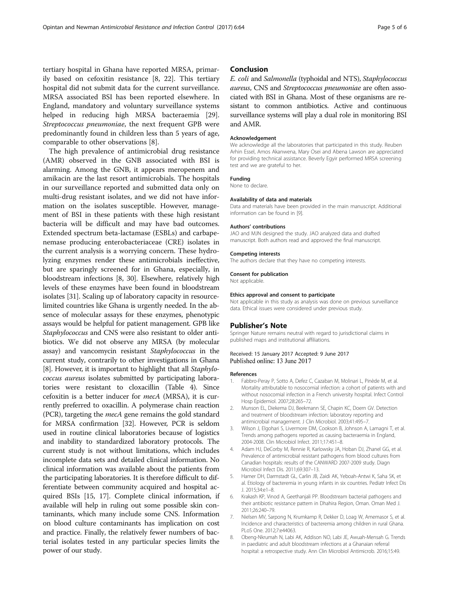<span id="page-4-0"></span>tertiary hospital in Ghana have reported MRSA, primarily based on cefoxitin resistance [8, [22\]](#page-5-0). This tertiary hospital did not submit data for the current surveillance. MRSA associated BSI has been reported elsewhere. In England, mandatory and voluntary surveillance systems helped in reducing high MRSA bacteraemia [\[29](#page-5-0)]. Streptococcus pneumoniae, the next frequent GPB were predominantly found in children less than 5 years of age, comparable to other observations [8].

The high prevalence of antimicrobial drug resistance (AMR) observed in the GNB associated with BSI is alarming. Among the GNB, it appears meropenem and amikacin are the last resort antimicrobials. The hospitals in our surveillance reported and submitted data only on multi-drug resistant isolates, and we did not have information on the isolates susceptible. However, management of BSI in these patients with these high resistant bacteria will be difficult and may have bad outcomes. Extended spectrum beta-lactamase (ESBLs) and carbapenemase producing enterobacteriaceae (CRE) isolates in the current analysis is a worrying concern. These hydrolyzing enzymes render these antimicrobials ineffective, but are sparingly screened for in Ghana, especially, in bloodstream infections [8, [30](#page-5-0)]. Elsewhere, relatively high levels of these enzymes have been found in bloodstream isolates [[31](#page-5-0)]. Scaling up of laboratory capacity in resourcelimited countries like Ghana is urgently needed. In the absence of molecular assays for these enzymes, phenotypic assays would be helpful for patient management. GPB like Staphylococcus and CNS were also resistant to older antibiotics. We did not observe any MRSA (by molecular assay) and vancomycin resistant Staphylococcus in the current study, contrarily to other investigations in Ghana [8]. However, it is important to highlight that all Staphylococcus aureus isolates submitted by participating laboratories were resistant to cloxacillin (Table [4](#page-3-0)). Since cefoxitin is a better inducer for mecA (MRSA), it is currently preferred to oxacillin. A polymerase chain reaction (PCR), targeting the *mecA* gene remains the gold standard for MRSA confirmation [\[32\]](#page-5-0). However, PCR is seldom used in routine clinical laboratories because of logistics and inability to standardized laboratory protocols. The current study is not without limitations, which includes incomplete data sets and detailed clinical information. No clinical information was available about the patients from the participating laboratories. It is therefore difficult to differentiate between community acquired and hospital acquired BSIs [\[15, 17](#page-5-0)]. Complete clinical information, if available will help in ruling out some possible skin contaminants, which many include some CNS. Information on blood culture contaminants has implication on cost and practice. Finally, the relatively fewer numbers of bacterial isolates tested in any particular species limits the power of our study.

### Conclusion

E. coli and Salmonella (typhoidal and NTS), Staphylococcus aureus, CNS and Streptococcus pneumoniae are often associated with BSI in Ghana. Most of these organisms are resistant to common antibiotics. Active and continuous surveillance systems will play a dual role in monitoring BSI and AMR.

#### Acknowledgement

We acknowledge all the laboratories that participated in this study. Reuben Arhin Essel, Amos Akanwena, Mary Osei and Abena Lawson are appreciated for providing technical assistance. Beverly Egyir performed MRSA screening test and we are grateful to her.

#### Funding

None to declare.

#### Availability of data and materials

Data and materials have been provided in the main manuscript. Additional information can be found in [[9](#page-5-0)].

#### Authors' contributions

JAO and MJN designed the study. JAO analyzed data and drafted manuscript. Both authors read and approved the final manuscript.

#### Competing interests

The authors declare that they have no competing interests.

#### Consent for publication

Not applicable.

#### Ethics approval and consent to participate

Not applicable in this study as analysis was done on previous surveillance data. Ethical issues were considered under previous study.

#### Publisher's Note

Springer Nature remains neutral with regard to jurisdictional claims in published maps and institutional affiliations.

#### Received: 15 January 2017 Accepted: 9 June 2017 Published online: 13 June 2017

#### References

- 1. Fabbro-Peray P, Sotto A, Defez C, Cazaban M, Molinari L, Pinède M, et al. Mortality attributable to nosocomial infection: a cohort of patients with and without nosocomial infection in a French university hospital. Infect Control Hosp Epidemiol. 2007;28:265–72.
- 2. Munson EL, Diekema DJ, Beekmann SE, Chapin KC, Doern GV. Detection and treatment of bloodstream infection: laboratory reporting and antimicrobial management. J Clin Microbiol. 2003;41:495–7.
- Wilson J, Elgohari S, Livermore DM, Cookson B, Johnson A, Lamagni T, et al. Trends among pathogens reported as causing bacteraemia in England, 2004-2008. Clin Microbiol Infect. 2011;17:451–8.
- 4. Adam HJ, DeCorby M, Rennie R, Karlowsky JA, Hoban DJ, Zhanel GG, et al. Prevalence of antimicrobial resistant pathogens from blood cultures from Canadian hospitals: results of the CANWARD 2007-2009 study. Diagn Microbiol Infect Dis. 2011;69:307–13.
- 5. Hamer DH, Darmstadt GL, Carlin JB, Zaidi AK, Yeboah-Antwi K, Saha SK, et al. Etiology of bacteremia in young infants in six countries. Pediatr Infect Dis J. 2015;34:e1–8.
- 6. Krakash KP, Vinod A, Geethanjali PP. Bloodstream bacterial pathogens and their antibiotic resistance pattern in Dhahira Region, Oman. Oman Med J. 2011;26:240–79.
- 7. Nielsen MV, Sarpong N, Krumkamp R, Dekker D, Loag W, Amemasor S, et al. Incidence and characteristics of bacteremia among children in rural Ghana. PLoS One. 2012;7:e44063.
- 8. Obeng-Nkrumah N, Labi AK, Addison NO, Labi JE, Awuah-Mensah G. Trends in paediatric and adult bloodstream infections at a Ghanaian referral hospital: a retrospective study. Ann Clin Microbiol Antimicrob. 2016;15:49.